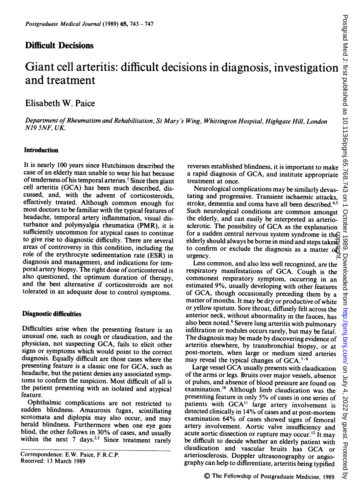# Difficult Decisions

# Postgraduate Medical Journal (1989) 65, 743 – 747<br> **Difficult decisions**<br> **Giant cell arteritis: difficult decisions in diagnosis, investigation**<br>
and treatment<br>
Elisabeth W. Paice<br> *Elisabeth W. Paice*<br> *Department of Rh* and treatment

# Elisabeth W. Paice

Department of Rheumatism and Rehabilitation, St Mary's Wing, Whittington Hospital, Highgate Hill, London NJ9 SNF, UK.

## Introduction

It is nearly 100 years since Hutchinson described the case of an elderly man unable to wear his hat because of tenderness of his temporal arteries.' Since then giant cell arteritis (GCA) has been much described, discussed, and, with the advent of corticosteroids, effectively treated. Although common enough for most doctors to be familiar with the typical features of headache, temporal artery inflammation, visual disturbance and polymyalgia rheumatica (PMR), it is sufficiently uncommon for atypical cases to continue to give rise to diagnostic difficulty. There are several areas of controversy in this condition, including the role of the erythrocyte sedimentation rate (ESR) in diagnosis and management, and indications for temporal artery biopsy. The right dose of corticosteroid is also questioned, the optimum duration of therapy, and the best alternative if corticosteroids are not tolerated in an adequate dose to control symptoms.

### Diagnostic difficulties

Difficulties arise when the presenting feature is an unusual one, such as cough or claudication, and the physician, not suspecting GCA, fails to elicit other signs or symptoms which would point to the correct diagnosis. Equally difficult are those cases where the presenting feature is a classic one for GCA, such as headache, but the patient denies any associated symptoms to confirm the suspicion. Most difficult of all is the patient presenting with an isolated and atypical feature.

Ophthalmic complications are not restricted to sudden blindness. Amaurosis fugax, scintillating scotomata and diplopia may also occur, and may herald blindness. Furthermore when one eye goes blind, the other follows in 30% of cases, and usually within the next 7 days.<sup>2,3</sup> Since treatment rarely

reverses established blindness, it is important to make a rapid diagnosis of GCA, and institute appropriate treatment at once.

Neurological complications may be similarly devastating and progressive. Transient ischaemic attacks, stroke, dementia and coma have all been described.<sup>4,5</sup> Such neurological conditions are common amongst the elderly, and can easily be interpreted as arteriosclerotic. The possibility of GCA as the explanation for a sudden central nervous system syndrome in the elderly should always be borne in mind and steps taken to confirm or exclude the diagnosis as a matter of urgency. copyright.

Less common, and also less well recognized, are the respiratory manifestations of GCA. Cough is the commonest respiratory symptom, occurring in an estimated 9%, usually developing with other features of GCA, though occasionally preceding them by <sup>a</sup> matter of months. It may be dry or productive of white or yellow sputum. Sore throat, diffusely felt across the anterior neck, without abnormality in the fauces, has also been noted.<sup>6</sup> Severe lung arteritis with pulmonary infiltration or nodules occurs rarely, but may be fatal. The diagnosis may be made by discovering evidence of arteritis elsewhere, by transbronchial biopsy, or at post-mortem, when large or medium sized arteries may reveal the typical changes of GCA.<sup>7-9</sup>

Large vessel GCA usually presents with claudication of the arms or legs. Bruits over major vessels, absence ot pulses, and absence of blood pressure are found on examination.'0 Although limb claudication was the presenting feature in only 5% of cases in one series of patients with GCA<sup>11</sup> large artery involvement is detected clinically in 14% of cases and at post-mortem examination 64% of cases showed signs of femoral artery involvement. Aortic valve insufficiency and acute aortic dissection or rupture may occur.'2 It may be difficult to decide whether an elderly patient with claudication and vascular bruits has GCA or arteriosclerosis. Doppler ultrasonography or angiography can help to differentiate, arteritis being typified

Correspondence: E.W. Paice, F.R.C.P. Received: 13 March 1989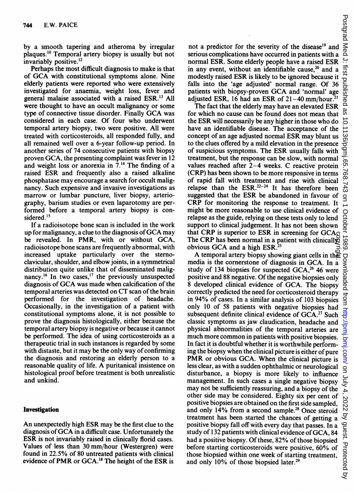by a smooth tapering and atheroma by irregular plaques.<sup>10</sup> Temporal artery biopsy is usually but not invariably positive.<sup>12</sup>

Perhaps the most difficult diagnosis to make is that of GCA with constitutional symptoms alone. Nine elderly patients were reported who were extensively investigated for anaemia, weight loss, fever and general malaise associated with a raised ESR.13 All were thought to have an occult malignancy or some type of connective tissue disorder. Finally GCA was considered in each case. Of four who underwent temporal artery biopsy, two were positive. All were treated with corticosteroids, all responded fully, and all remained well over a 6-year follow-up period. In another series of 74 consecutive patients with biopsy proven GCA, the presenting complaint was fever in <sup>12</sup> and weight loss or anorexia in  $7<sup>14</sup>$  The finding of a raised ESR and frequently also <sup>a</sup> raised alkaline phosphatase may encourage a search for occult malignancy. Such expensive and invasive investigations as marrow or lumbar puncture, liver biopsy, arteriography, barium studies or even laparotomy are performed before a temporal artery biopsy is considered.<sup>15</sup>

If a radioisotope bone scan is included in the work up for malignancy, <sup>a</sup> clue to the diagnosis ofGCA may be revealed. In PMR, with or without GCA, radioisotope bone scans are frequently abnormal, with increased uptake particularly over the sternoclavicular, shoulder, and elbow joints, in a symmetrical distribution quite unlike that of disseminated malig nancy.<sup>16</sup> In two cases,<sup>17</sup> the previously unsuspected diagnosis of GCA was made when calcification of the temporal arteries was detected on CT scan of the brain performed for the investigation of headache. Occasionally, in the investigation of a patient with constitutional symptoms alone, it is not possible to prove the diagnosis histologically, either because the temporal artery biopsy is negative or because it cannot be performed. The idea of using corticosteroids as a therapeutic trial in such instances is regarded by some with distaste, but it may be the only way of confirming the diagnosis and restoring an elderly person to a reasonable quality of life. A puritanical insistence on histological proof before treatment is both unrealistic and unkind.

### Investigation

An unexpectedly high ESR may be the first clue to the diagnosis ofGCA in <sup>a</sup> difficult case. Unfortunately the ESR is not invariably raised in clinically florid cases. Values of less than 30 mm/hour (Westergren) were found in 22.5% of 80 untreated patients with clinical evidence of PMR or GCA.'8 The height of the ESR is

not a predictor for the severity of the disease<sup>19</sup> and serious complications have occurred in patients with a normal ESR. Some elderly people have <sup>a</sup> raised ESR in any event, without an identifiable cause, $20$  and a modestly raised ESR is likely to be disease<sup>19</sup> and  $\frac{1}{\infty}$  and serious complications have occurred in patients with a normal ESR. Some elderly people have a raised ESR in any event, without an identifiable cause,<sup>20</sup> falls into the 'age adjusted' normal range. Of <sup>36</sup> patients with biopsy-proven GCA and 'normal' age adjusted ESR, 16 had an ESR of  $21-40$  mm/hour.<sup>21</sup>

The fact that the elderly may have an elevated ESR for which no cause can be found does not mean that the ESR will necessarily be any higher in those who do have an identifiable disease. The acceptance of the concept of an age adjusted normal ESR may blunt us the ESR will necessarily be any higher in those who do  $\overline{10}$  concept of an age adjusted normal ESR may blunt us to the clues offered by a mild elevation in the presence of suspicious symptoms. The ESR usually falls wi of suspicious symptoms. The ESR usually falls with treatment, but the response can be slow, with normal values reached after 2-4 weeks. C reactive protein (CRP) has been shown to be more responsive in terms of rapid fall with treatment and rise with clinical relapse than the  $ESR^{22-24}$  It has therefore been suggested that the ESR be abandoned in favour of CRP for monitoring the response to treatment. It might be more reasonable to use clinical evidence of relapse as the guide, relying on these tests only to lend support to clinical judgement. It has not been shown that CRP is superior to ESR in screening for  $GCA<sub>Q</sub>$ The CRP has been normal in <sup>a</sup> patient with clinically obvious GCA and a high ESR.<sup>25</sup> At CKP is superior to ESR in screening for GCA<sub>O</sub><br>
e CRP has been normal in a patient with clinically<br>
vious GCA and a high ESR.<sup>25</sup><br>
A temporal artery biopsy showing giant cells in the

media is the cornerstone of diagnosis in GCA. In a study of 134 biopsies for suspected  $GCA<sub>36</sub>$  46 were A temporal artery biopsy showing giant cells in the media is the cornerstone of diagnosis in GCA. In a study of 134 biopsies for suspected GCA,<sup>26</sup> 46 were positive and 88 negative. Of the negative biopsies only a 8 devel <sup>8</sup> developed clinical evidence of GCA. The biopsy correctly predicted the need for corticosteroid therapy<br>in 94% of cases. In a similar analysis of 103 biopsies<br>only 10 of 58 patients with negative biopsies had<br>subsequent definite clinical evidence of GCA.<sup>27</sup> Such<br>class in 94% of cases. In <sup>a</sup> similar analysis of <sup>103</sup> biopsies only <sup>10</sup> of 58 patients with negative biopsies had subsequent definite clinical evidence of GCA.<sup>27</sup> Such classic symptoms as jaw claudication, headache and physical abnormalities of the temporal arteries are much more common in patients with positive biopsies. In fact it is doubtful whether it is worthwhile performing the biopsy when the clinical picture is either of pure PMR or obvious GCA. When the clinical picture is elses In fact it is doubtful whether it is worthwhile perform ing the biopsy when the clinical picture is either of pure PMR or obvious GCA. When the clinical picture is less clear, as with <sup>a</sup> sudden ophthalmic or neurological disturbance, a biopsy is more likely to influence management. In such cases a single negative biopsy may not be sufficiently reassuring, and a biopsy of the other side may be considered. Eighty six per cent of positive biopsies are obtained on the first side sampled, and only 14% from a second sample.<sup>28</sup> Once steroid treatment has been started the chances of getting <sup>a</sup> positive biopsy fall off with every day that passes. In a study of <sup>132</sup> patients with clinical evidence of GCA, 84 had a positive biopsy. Of these, 82% of those biopsied before starting corticosteroids were positive, 60% of those biopsied within one week of starting treatment, and only 10% of those biopsied later.<sup>29</sup>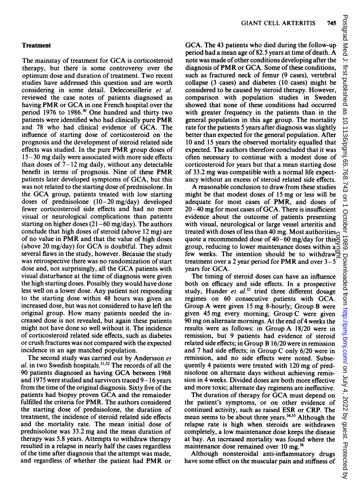### **Treatment**

The mainstay of treatment for GCA is corticosteroid therapy, but there is some controversy over the optimum dose and duration of treatment. Two recent studies have addressed this question and are worth considering in some detail. Delecoeuillerie et al. reviewed the case notes of patients diagnosed as having PMR or GCA in one French hospital over the period <sup>1976</sup> to 1986.30 One hundred and thirty two patients were identified who had clinically pure PMR and 78 who had clinical evidence of GCA. The influence of starting dose of corticosteroid on the prognosis and the development of steroid related side effects was studied. In the pure PMR group doses of 15-30 mg daily were associated with more side effects than doses of  $7-12$  mg daily, without any detectable benefit in terms of prognosis. Nine of these PMR patients later developed symptoms of GCA, but this was not related to the starting dose of prednisolone. In the GCA group, patients treated with low starting doses of prednisolone (10-20 mg/day) developed fewer corticosteroid side effects and had no more visual or neurological complications than patients starting on higher doses  $(21-60 \text{ mg/day})$ . The authors conclude that high doses of steroid (above <sup>12</sup> mg) are of no value in PMR and that the value of high doses (above <sup>20</sup> mg/day) for GCA is doubtful. They admit several flaws in the study, however. Because the study was retrospective there was no randomization of start dose and, not surprisingly, all the GCA patients with visual disturbance at the time of diagnosis were given the high starting doses. Possibly they would have done less well on <sup>a</sup> lower dose. Any patient not responding to the starting dose within 48 hours was given an increased dose, but was not considered to have left the original group. How many patients needed the increased dose is not revealed, but again these patients might not have done so well without it. The incidence of corticosteroid related side effects, such as diabetes or crush fractures was not compared with the expected incidence in an age matched population.

The second study was carried out by Andersson et  $al.$  in two Swedish hospitals.<sup>31,32</sup> The records of all the <sup>90</sup> patients diagnosed as having GCA between <sup>1968</sup> and 1975 were studied and survivors traced 9-16 years from the time of the original diagnosis. Sixty five of the patients had biopsy proven GCA and the remainder fulfilled the criteria for PMR. The authors considered the starting dose of prednisolone, the duration of treatment, the incidence of steroid related side effects and the mortality rate. The mean initial dose of prednisolone was 33.2 mg and the mean duration of therapy was 5.8 years. Attempts to withdraw therapy resulted in a relapse in nearly half the cases regardless of the time after diagnosis that the attempt was made, and regardless of whether the patient had PMR or GCA. The <sup>43</sup> patients who died during the follow-up period had a mean age of 82.5 years at time of death. A note was made of other conditions developing after the diagnosis of PMR or GCA. Some of these conditions, such as fractured neck of femur (9 cases), vertebral collapse (3 cases) and diabetes (10 cases) might be considered to be caused by steroid therapy. However, comparison with population studies in Sweden showed that none of these conditions had occurred with greater frequency in the patients than in the general population in this age group. The mortality rate for the patients <sup>5</sup> years after diagnosis was slightly better than expected for the general population. After 10 and <sup>15</sup> years the observed mortality equalled that expected. The authors therefore concluded that it was often necessary to continue with a modest dose of corticosteroid for years but that a mean starting dose of 33.2 mg was compatible with <sup>a</sup> normal life expectancy without an excess of steroid related side effects.

A reasonable conclusion to draw from these studies might be that modest doses of <sup>15</sup> mg or less will be adequate for most cases of PMR, and doses of 20-40 mg for most cases of GCA. There is insufficient evidence about the outcome of patients presenting with visual, neurological or large vessel arteritis and treated with doses of less than 40 mg. Most authorities  $\Omega$ quote a recommended dose of  $40-60$  mg/day for this  $\Theta$ group, reducing to lower maintenance doses within a frequence with doses of essential 40 ling. Most authorities of quote a recommended dose of  $40-60$  mg/day for this assumption, reducing to lower maintenance doses within a signal few weeks. The intention should be to with treatment over a 2 year period for PMR and over  $3-5$ years for GCA.

The timing of steroid doses can have an influence both on efficacy and side effects. In a prospective study, Hunder et  $al$ .<sup>32</sup> tried three different dosage regimes on 60 consecutive patients with GCA. Group A were given <sup>15</sup> mg 8-hourly; Group <sup>B</sup> were given <sup>45</sup> mg every morning; Group C were given 90 mg on alternate mornings. At the end of 4 weeks the results were as follows: in Group A 18/20 were in remission, but 9 patients had evidence of steroid related side effects; in Group B 16/20 were in remission and <sup>7</sup> had side effects; in Group C only 6/20 were in remission, and no side effects were noted. Subsequently <sup>4</sup> patients were treated with <sup>120</sup> mg of pred nisolone on alternate days without achieving remission in 4 weeks. Divided doses are both more effective and more toxic; alternate day regimens are ineffective.

The duration of therapy for GCA must depend on the patient's symptoms, or on other evidence of continued activity, such as raised ESR or CRP. The mean seems to be about three years.<sup>34,35</sup> Although the relapse rate is high when steroids are withdrawn completely, a low maintenance dose keeps the disease at bay. An increased mortality was found where the maintenance dose remained over 10 mg.<sup>36</sup>

Although nonsteroidal anti-inflammatory drugs have some effect on the muscular pain and stiffness of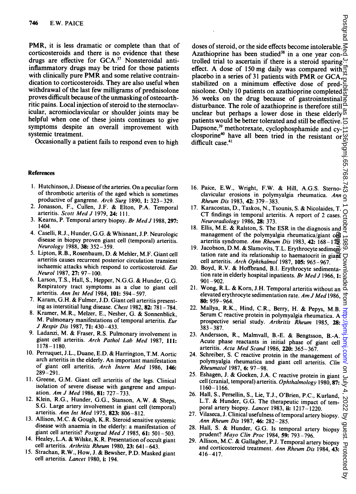PMR, it is less dramatic or complete than that of corticosteroids and there is no evidence that these drugs are effective for GCA.<sup>37</sup> Nonsteroidal antiinflammatory drugs may be tried for those patients with clinically pure PMR and some relative contraindication to corticosteroids. They are also useful when withdrawal of the last few milligrams of prednisolone proves difficult because of the unmasking of osteoarthritic pains. Local injection of steroid to the sternoclavicular, acromioclavicular or shoulder joints may be helpful when one of these joints continues to give symptoms despite an overall improvement with systemic treatment.

Occasionally a patient fails to respond even to high

doses of steroid, or the side effects become intolerable. Azathioprine has been studied<sup>38</sup> in a one year controlled trial to ascertain if there is a steroid sparing effect. A dose of 150 mg daily was compared with  $\frac{1}{\omega}$ placebo in a series of 31 patients with PMR or GCA, $\frac{3}{12}$ stabilized on a minimum effective dose of pred- $\bar{\overline{G}}$ nisolone. Only 10 patients on azathioprine completed  $\frac{3}{60}$ 36 weeks on the drug because of gastrointestinal  $\frac{3}{6}$ disturbance. The role of azathioprine is therefore still unclear but perhaps a lower dose in these elderly  $\overline{\omega}$ patients would be better tolerated and still be effective.  $\overline{\bigcirc}$ <br>Dapsone,<sup>39</sup> methotrexate, cyclophosphamide and cy- $\overline{\bigcirc}$  $\mu$ apsone,<sup>39</sup> methotrexate, cyclophosphamide and cyclosporine<sup>40</sup> have all been tried in the resistant or  $\frac{6}{3}$ <br>difficult case.<sup>41</sup>

### References

- 1. Hutchinson, J. Disease of the arteries. On <sup>a</sup> peculiar form of thrombotic arteritis of the aged which is sometimes productive of gangrene. Arch Surg 1890, 1: 323-329.
- 2. Jonasson, F., Cullen, J.F. & Elton, P.A. Temporal arteritis. Scott Med J 1979, 24: 111.
- 3. Kearns, P. Temporal artery biopsy. Br Med J 1988, 297: 1404.
- 4. Caselli, R.J., Hunder, G.G. & Whisnant, J.P. Neurologic disease in biopsy proven giant cell (temporal) arteritis. Neurology 1988, 38: 352-359.
- 5. Lipton, R.B., Rosenbaum, D. & Mehler, M.F. Giant cell arteritis causes recurrent posterior circulation transient ischaemic attacks which respond to corticosteroid. Eur Neurol 1987, 27: 97-100.
- 6. Larson, T.S., Hall, S., Hepper, N.G.G. & Hunder, G.G. Respiratory tract symptoms as a clue to giant cell arteritis. Ann Int Med 1984, 101: 594-597.
- 7. Karam, G.H. & Fulmer, J.D. Giant cell arteritis present ing as interstitial lung disease. Chest 1982, 82: 781-784.
- 8. Kramer, M.R., Melzer, E., Nesher, G. & Sonnenblick, M. Pulmonary manifestations of temporal arteritis. Eur J Respir Dis 1987, 71: 430-433.
- 9. Ladanzi, M. & Fraser, R.S. Pulmonary involvement in giant cell arteritis. Arch Pathol Lab Med 1987, 111: 1178-1180.
- 10. Perruquet, J.L., Duane, E.D. & Harrington, T.M. Aortic arch arteritis in the elderly. An important manifestation of giant cell arteritis. Arch Intern Med 1986, 146: 289-291.
- 11. Greene, G.M. Giant cell arteritis of the legs. Clinical isolation of severe disease with gangrene and amput-<br>ation.  $Am J Med$  1986, 81: 727-733.<br>12. Klein, R.G., Hunder, G.G., Stanson, A.W. & Sheps,
- 5.G. Large artery involvement in giant cell (temporal) arteritis. Ann Int Med 1975, 823: 806-812.
- 13. Allison, M.C. & Gough, K.R. Steroid sensitive systemic disease with anaemia in the elderly: a manifestation of giant cell arteritis? Postgrad Med J 1985, 61: 501-503.
- 14. Healey, L.A. & Wilske, K.R. Presentation of occult giant cell arteritis. Arthritis Rheum 1980, 23: 641-643.
- 15. Strachan, R.W., How, J. & Bewsher, P.D. Masked giant cell arteritis. Lancet 1980, i: 194.
- 16. Paice, E.W., Wright, F.W. & Hill, A.G.S. Sternoclavicular erosions in polymyalgia rheumatica. Ann Rheum Dis 1983, 42: 379-383.
- 17. Karacostas, D., Taskos, N., Tsounis, S. & Nicolaides, T. CT findings in temporal arteritis. A report of <sup>2</sup> cases. Neuroradiology 1986, 28: 373.
- 18. Ellis, M.E. & Ralston, S. The ESR in the diagnosis and  $\overline{\varphi}$ management of the polymyalgia rheumatica/giant cell arteritis syndrome. Ann Rheum Dis 1983, 42: 168-178.
- 19. Jacobson, D.M. & Slamovits, T.L. Erythrocyte sedimenmanagement of the polymyalgia rheumatica/giant copyrate its syndrome. Ann Rheum Dis 1983, 42: 168 – 178 {<br>Jacobson, D.M. & Slamovits, T.L. Erythrocyte sediments its relation rate and its relationship to haematocrit in gia cell arteritis. Arch Ophthalmol 1987, 105: 965-967.
- 20. Boyd, R.V. & Hoffbrand, B.I. Erythrocyte sedimentation rate in elderly hospital inpatients. Br Med J 1966, 1:  $\frac{1}{\Omega}$  $901 - 902.$
- 21. Wong, R.L. & Korn, J.H. Temporal arteritis without an  $\mathfrak{L}$ elevated erythrocyte sedimentation rate. Am J Med 1986, 80: 959-964.
- 22. Mallya, R.K., Hind, C.R., Berry, H. & Pepys, M.B. Serum C reactive protein in polymyalgia rheumatica. A prospective serial study. Arthritis Rheum 1985, 28: 383-387.
- 23. Andersson, R., Malmvall, B.-E. & Bengtsson, B.-A. Acute phase reactants in initial phase of giant cell arteritis. Acta Med Scand 1986, 220: 365-367.
- 24. Schreiber, S. C reactive protein in the management of polymyalgia rheumatica and giant cell arteritis. Clin Rheumatol 1987, 6: 97-98.
- 25. Eshagen, J. & Goeken, J.A. C reactive protein in giant cell (cranial, temporal) arteritis. Ophthalmology 1980, 87: 1160-1166.
- L.T. & Hunder, G.G. The therapeutic impact of temporal artery biopsy. Lancet 1983, ii: 1217-1220.
- 27. Vilaseca, J. Clinical usefulness of temporal artery biopsy. Ann Rheum Dis 1987, 46: 282-285.
- 28. Hall, S. & Hunder, G.G. Is temporal artery biopsy prudent? Mayo Clin Proc 1984, 59: 793-796.
- 26. Hall, S., Persellin, S., Lie, T.J., O'Brien, P.C., Kurland, J. D.T. & Hunder, G.G. The therapeutic impact of temporal artery biopsy. *Lancet* 1983, ii: 1217–1220.<br>
27. Vilaseca, J. Clinical usefulness of temporal arte 29. Allison, M.C. & Gallagher, P.J. Temporal artery biopsy and corticosteroid treatment. Ann Rheum Dis 1984, 43: 416-417.